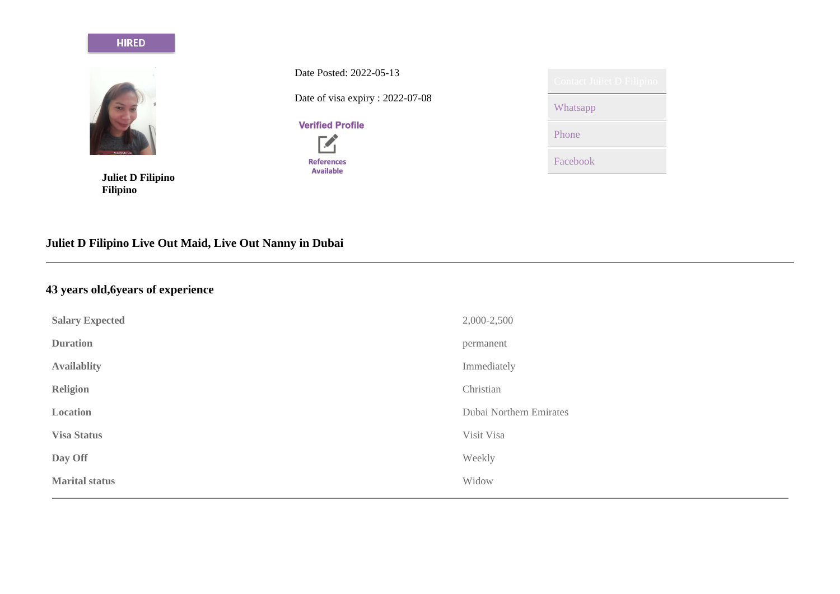#### **HIRED**



**Juliet D Filipino Filipino**

Date Posted: 2022-05-13 Date of visa expiry : 2022-07-08

**Verified Profile** 



| <b>Contact Juliet D Filipino</b> |
|----------------------------------|
| Whatsapp                         |
| Phone                            |
| Facebook                         |

# **Juliet D Filipino Live Out Maid, Live Out Nanny in Dubai**

# **43 years old,6years of experience**

| <b>Salary Expected</b> | 2,000-2,500             |
|------------------------|-------------------------|
| <b>Duration</b>        | permanent               |
| <b>Availablity</b>     | Immediately             |
| <b>Religion</b>        | Christian               |
| Location               | Dubai Northern Emirates |
| <b>Visa Status</b>     | Visit Visa              |
| Day Off                | Weekly                  |
| <b>Marital status</b>  | Widow                   |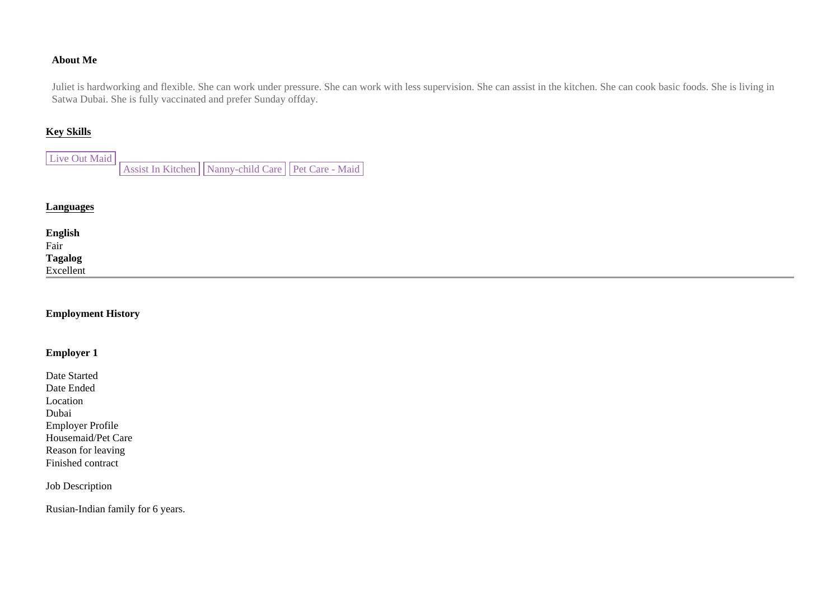### **About Me**

Juliet is hardworking and flexible. She can work under pressure. She can work with less supervision. She can assist in the kitchen. She can cook basic foods. She is living in Satwa Dubai. She is fully vaccinated and prefer Sunday offday.

#### **Key Skills**

| Live Out Maid |                                                            |  |  |
|---------------|------------------------------------------------------------|--|--|
|               | Assist In Kitchen     Nanny-child Care     Pet Care - Maid |  |  |

### **Languages**

**English**  Fair **Tagalog**  Excellent

#### **Employment History**

#### **Employer 1**

Date Started Date Ended Location Dubai Employer Profile Housemaid/Pet Care Reason for leaving Finished contract

Job Description

Rusian-Indian family for 6 years.